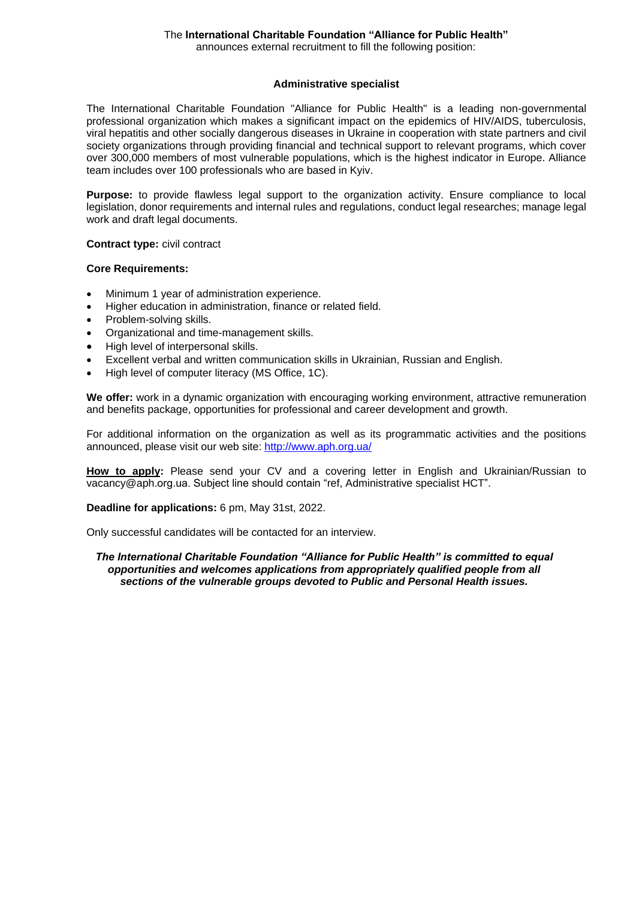# The **International Charitable Foundation "Alliance for Public Health"**

announces external recruitment to fill the following position:

### **Administrative specialist**

The International Charitable Foundation "Alliance for Public Health" is a leading non-governmental professional organization which makes a significant impact on the epidemics of HIV/AIDS, tuberculosis, viral hepatitis and other socially dangerous diseases in Ukraine in cooperation with state partners and civil society organizations through providing financial and technical support to relevant programs, which cover over 300,000 members of most vulnerable populations, which is the highest indicator in Europe. Alliance team includes over 100 professionals who are based in Kyiv.

**Purpose:** to provide flawless legal support to the organization activity. Ensure compliance to local legislation, donor requirements and internal rules and regulations, conduct legal researches; manage legal work and draft legal documents.

**Contract type:** civil contract

### **Core Requirements:**

- Minimum 1 year of administration experience.
- Higher education in administration, finance or related field.
- Problem-solving skills.
- Organizational and time-management skills.
- High level of interpersonal skills.
- Excellent verbal and written communication skills in Ukrainian, Russian and English.
- High level of computer literacy (MS Office, 1C).

**We offer:** work in a dynamic organization with encouraging working environment, attractive remuneration and benefits package, opportunities for professional and career development and growth.

For additional information on the organization as well as its programmatic activities and the positions announced, please visit our web site:<http://www.aph.org.ua/>

**How to apply:** Please send your CV and a covering letter in English and Ukrainian/Russian to vacancy@aph.org.ua. Subject line should contain "ref, Administrative specialist HCT".

**Deadline for applications:** 6 pm, May 31st, 2022.

Only successful candidates will be contacted for an interview.

*The International Charitable Foundation "Alliance for Public Health" is committed to equal opportunities and welcomes applications from appropriately qualified people from all sections of the vulnerable groups devoted to Public and Personal Health issues.*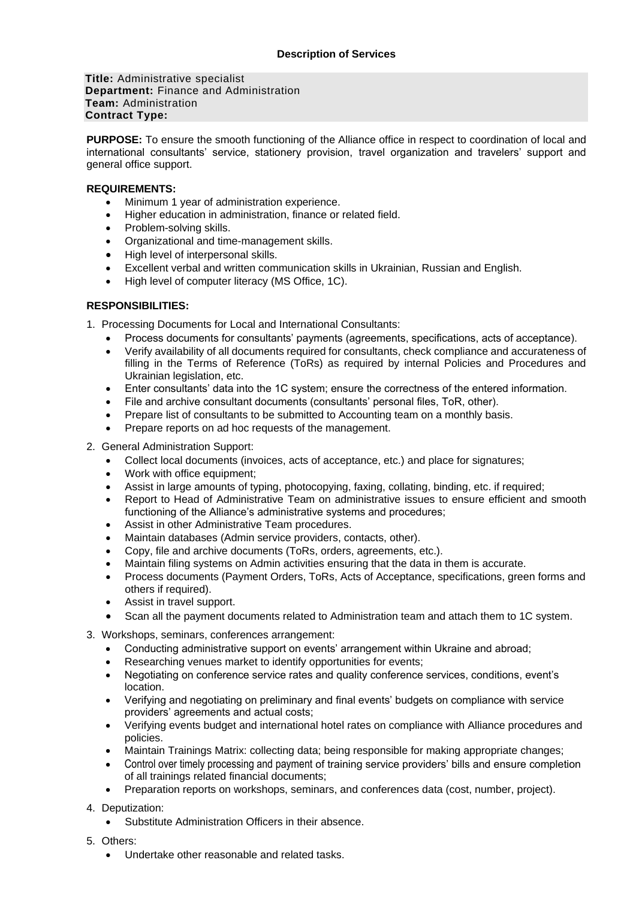**Title:** Administrative specialist **Department:** Finance and Administration **Team:** Administration **Contract Type:** 

**PURPOSE:** To ensure the smooth functioning of the Alliance office in respect to coordination of local and international consultants' service, stationery provision, travel organization and travelers' support and general office support.

### **REQUIREMENTS:**

- Minimum 1 year of administration experience.
- Higher education in administration, finance or related field.
- Problem-solving skills.
- Organizational and time-management skills.
- High level of interpersonal skills.
- Excellent verbal and written communication skills in Ukrainian, Russian and English.
- High level of computer literacy (MS Office, 1C).

## **RESPONSIBILITIES:**

- 1. Processing Documents for Local and International Consultants:
	- Process documents for consultants' payments (agreements, specifications, acts of acceptance).
	- Verify availability of all documents required for consultants, check compliance and accurateness of filling in the Terms of Reference (ToRs) as required by internal Policies and Procedures and Ukrainian legislation, etc.
	- Enter consultants' data into the 1C system; ensure the correctness of the entered information.
	- File and archive consultant documents (consultants' personal files, ToR, other).
	- Prepare list of consultants to be submitted to Accounting team on a monthly basis.
	- Prepare reports on ad hoc requests of the management.
- 2. General Administration Support:
	- Collect local documents (invoices, acts of acceptance, etc.) and place for signatures;
	- Work with office equipment;
	- Assist in large amounts of typing, photocopying, faxing, collating, binding, etc. if required;
	- Report to Head of Administrative Team on administrative issues to ensure efficient and smooth functioning of the Alliance's administrative systems and procedures;
	- Assist in other Administrative Team procedures.
	- Maintain databases (Admin service providers, contacts, other).
	- Copy, file and archive documents (ToRs, orders, agreements, etc.).
	- Maintain filing systems on Admin activities ensuring that the data in them is accurate.
	- Process documents (Payment Orders, ToRs, Acts of Acceptance, specifications, green forms and others if required).
	- Assist in travel support.
	- Scan all the payment documents related to Administration team and attach them to 1C system.
- 3. Workshops, seminars, conferences arrangement:
	- Conducting administrative support on events' arrangement within Ukraine and abroad;
	- Researching venues market to identify opportunities for events;
	- Negotiating on conference service rates and quality conference services, conditions, event's location.
	- Verifying and negotiating on preliminary and final events' budgets on compliance with service providers' agreements and actual costs;
	- Verifying events budget and international hotel rates on compliance with Alliance procedures and policies.
	- Maintain Trainings Matrix: collecting data; being responsible for making appropriate changes;
	- Control over timely processing and payment of training service providers' bills and ensure completion of all trainings related financial documents;
	- Preparation reports on workshops, seminars, and conferences data (cost, number, project).
- 4. Deputization:
	- Substitute Administration Officers in their absence.
- 5. Others:
	- Undertake other reasonable and related tasks.